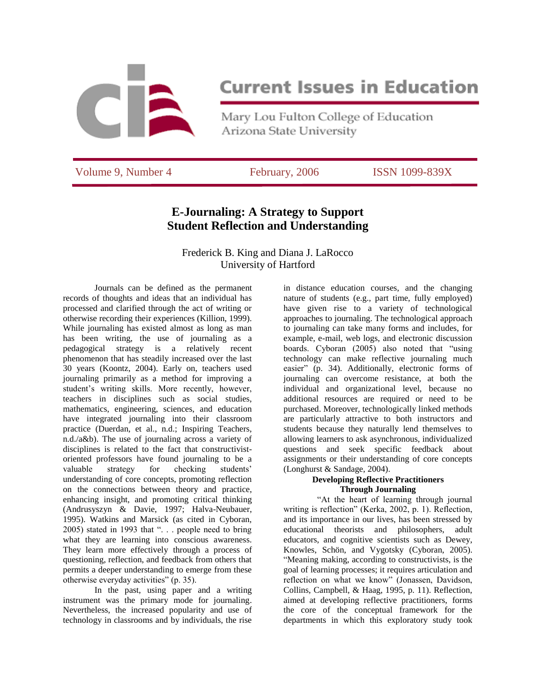

# **Current Issues in Education**

Mary Lou Fulton College of Education Arizona State University

Volume 9, Number 4 February, 2006 ISSN 1099-839X

# **E-Journaling: A Strategy to Support Student Reflection and Understanding**

# Frederick B. King and Diana J. LaRocco University of Hartford

Journals can be defined as the permanent records of thoughts and ideas that an individual has processed and clarified through the act of writing or otherwise recording their experiences (Killion, 1999). While journaling has existed almost as long as man has been writing, the use of journaling as a pedagogical strategy is a relatively recent phenomenon that has steadily increased over the last 30 years (Koontz, 2004). Early on, teachers used journaling primarily as a method for improving a student's writing skills. More recently, however, teachers in disciplines such as social studies, mathematics, engineering, sciences, and education have integrated journaling into their classroom practice (Duerdan, et al., n.d.; Inspiring Teachers, n.d./a&b). The use of journaling across a variety of disciplines is related to the fact that constructivistoriented professors have found journaling to be a valuable strategy for checking students' understanding of core concepts, promoting reflection on the connections between theory and practice, enhancing insight, and promoting critical thinking (Andrusyszyn & Davie, 1997; Halva-Neubauer, 1995). Watkins and Marsick (as cited in Cyboran, 2005) stated in 1993 that ". . . people need to bring what they are learning into conscious awareness. They learn more effectively through a process of questioning, reflection, and feedback from others that permits a deeper understanding to emerge from these otherwise everyday activities" (p. 35).

In the past, using paper and a writing instrument was the primary mode for journaling. Nevertheless, the increased popularity and use of technology in classrooms and by individuals, the rise

in distance education courses, and the changing nature of students (e.g., part time, fully employed) have given rise to a variety of technological approaches to journaling. The technological approach to journaling can take many forms and includes, for example, e-mail, web logs, and electronic discussion boards. Cyboran (2005) also noted that "using technology can make reflective journaling much easier" (p. 34). Additionally, electronic forms of journaling can overcome resistance, at both the individual and organizational level, because no additional resources are required or need to be purchased. Moreover, technologically linked methods are particularly attractive to both instructors and students because they naturally lend themselves to allowing learners to ask asynchronous, individualized questions and seek specific feedback about assignments or their understanding of core concepts (Longhurst & Sandage, 2004).

### **Developing Reflective Practitioners Through Journaling**

"At the heart of learning through journal writing is reflection" (Kerka, 2002, p. 1). Reflection, and its importance in our lives, has been stressed by educational theorists and philosophers, adult educators, and cognitive scientists such as Dewey, Knowles, Schön, and Vygotsky (Cyboran, 2005). "Meaning making, according to constructivists, is the goal of learning processes; it requires articulation and reflection on what we know" (Jonassen, Davidson, Collins, Campbell, & Haag, 1995, p. 11). Reflection, aimed at developing reflective practitioners, forms the core of the conceptual framework for the departments in which this exploratory study took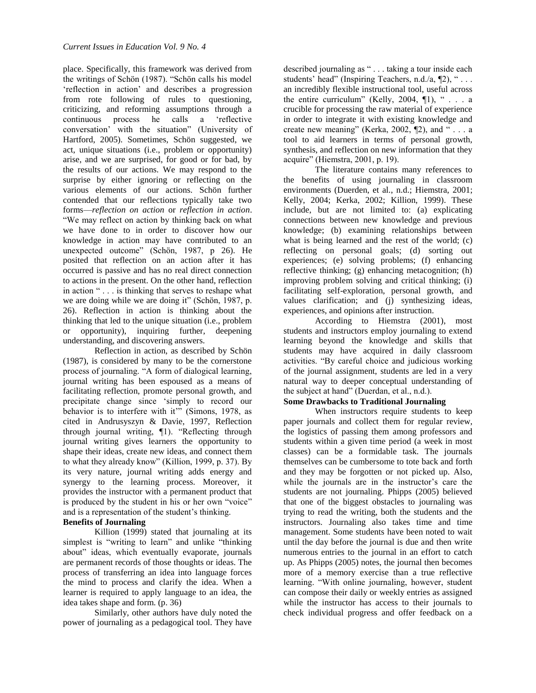place. Specifically, this framework was derived from the writings of Schön (1987). "Schön calls his model 'reflection in action' and describes a progression from rote following of rules to questioning, criticizing, and reforming assumptions through a continuous process he calls a 'reflective conversation' with the situation" (University of Hartford, 2005). Sometimes, Schön suggested, we act, unique situations (i.e., problem or opportunity) arise, and we are surprised, for good or for bad, by the results of our actions. We may respond to the surprise by either ignoring or reflecting on the various elements of our actions. Schön further contended that our reflections typically take two forms—*reflection on action* or *reflection in action*. "We may reflect on action by thinking back on what we have done to in order to discover how our knowledge in action may have contributed to an unexpected outcome" (Schön, 1987, p 26). He posited that reflection on an action after it has occurred is passive and has no real direct connection to actions in the present. On the other hand, reflection in action " . . . is thinking that serves to reshape what we are doing while we are doing it" (Schön, 1987, p. 26). Reflection in action is thinking about the thinking that led to the unique situation (i.e., problem or opportunity), inquiring further, deepening understanding, and discovering answers.

Reflection in action, as described by Schön (1987), is considered by many to be the cornerstone process of journaling. "A form of dialogical learning, journal writing has been espoused as a means of facilitating reflection, promote personal growth, and precipitate change since 'simply to record our behavior is to interfere with it'" (Simons, 1978, as cited in Andrusyszyn & Davie, 1997, Reflection through journal writing, ¶1). "Reflecting through journal writing gives learners the opportunity to shape their ideas, create new ideas, and connect them to what they already know" (Killion, 1999, p. 37). By its very nature, journal writing adds energy and synergy to the learning process. Moreover, it provides the instructor with a permanent product that is produced by the student in his or her own "voice" and is a representation of the student's thinking.

#### **Benefits of Journaling**

Killion (1999) stated that journaling at its simplest is "writing to learn" and unlike "thinking about" ideas, which eventually evaporate, journals are permanent records of those thoughts or ideas. The process of transferring an idea into language forces the mind to process and clarify the idea. When a learner is required to apply language to an idea, the idea takes shape and form. (p. 36)

Similarly, other authors have duly noted the power of journaling as a pedagogical tool. They have described journaling as " . . . taking a tour inside each students' head" (Inspiring Teachers, n.d./a, 12), "... an incredibly flexible instructional tool, useful across the entire curriculum" (Kelly, 2004,  $\P$ 1), " $\ldots$  a crucible for processing the raw material of experience in order to integrate it with existing knowledge and create new meaning" (Kerka, 2002, ¶2), and " . . . a tool to aid learners in terms of personal growth, synthesis, and reflection on new information that they acquire" (Hiemstra, 2001, p. 19).

The literature contains many references to the benefits of using journaling in classroom environments (Duerden, et al., n.d.; Hiemstra, 2001; Kelly, 2004; Kerka, 2002; Killion, 1999). These include, but are not limited to: (a) explicating connections between new knowledge and previous knowledge; (b) examining relationships between what is being learned and the rest of the world; (c) reflecting on personal goals; (d) sorting out experiences; (e) solving problems; (f) enhancing reflective thinking; (g) enhancing metacognition; (h) improving problem solving and critical thinking; (i) facilitating self-exploration, personal growth, and values clarification; and (j) synthesizing ideas, experiences, and opinions after instruction.

According to Hiemstra (2001), most students and instructors employ journaling to extend learning beyond the knowledge and skills that students may have acquired in daily classroom activities. "By careful choice and judicious working of the journal assignment, students are led in a very natural way to deeper conceptual understanding of the subject at hand" (Duerdan, et al., n.d.).

## **Some Drawbacks to Traditional Journaling**

When instructors require students to keep paper journals and collect them for regular review, the logistics of passing them among professors and students within a given time period (a week in most classes) can be a formidable task. The journals themselves can be cumbersome to tote back and forth and they may be forgotten or not picked up. Also, while the journals are in the instructor's care the students are not journaling. Phipps (2005) believed that one of the biggest obstacles to journaling was trying to read the writing, both the students and the instructors. Journaling also takes time and time management. Some students have been noted to wait until the day before the journal is due and then write numerous entries to the journal in an effort to catch up. As Phipps (2005) notes, the journal then becomes more of a memory exercise than a true reflective learning. "With online journaling, however, student can compose their daily or weekly entries as assigned while the instructor has access to their journals to check individual progress and offer feedback on a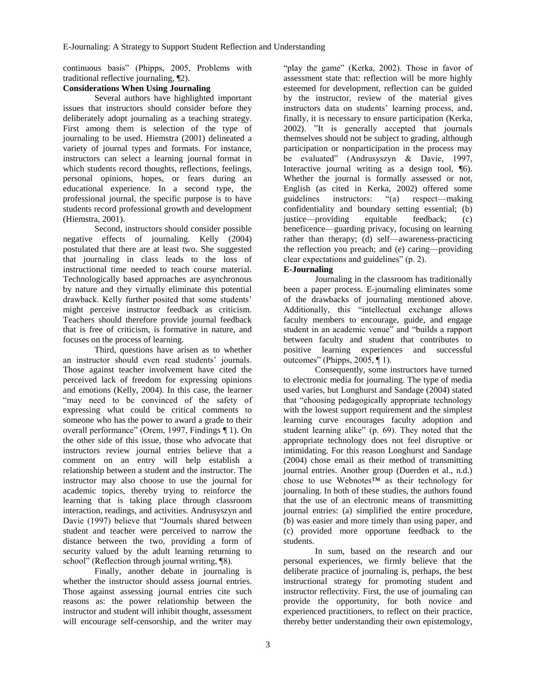continuous basis" (Phipps, 2005, Problems with traditional reflective journaling, ¶2).

## **Considerations When Using Journaling**

Several authors have highlighted important issues that instructors should consider before they deliberately adopt journaling as a teaching strategy. First among them is selection of the type of journaling to be used. Hiemstra (2001) delineated a variety of journal types and formats. For instance, instructors can select a learning journal format in which students record thoughts, reflections, feelings, personal opinions, hopes, or fears during an educational experience. In a second type, the professional journal, the specific purpose is to have students record professional growth and development (Hiemstra, 2001).

Second, instructors should consider possible negative effects of journaling. Kelly (2004) postulated that there are at least two. She suggested that journaling in class leads to the loss of instructional time needed to teach course material. Technologically based approaches are asynchronous by nature and they virtually eliminate this potential drawback. Kelly further posited that some students' might perceive instructor feedback as criticism. Teachers should therefore provide journal feedback that is free of criticism, is formative in nature, and focuses on the process of learning.

Third, questions have arisen as to whether an instructor should even read students' journals. Those against teacher involvement have cited the perceived lack of freedom for expressing opinions and emotions (Kelly, 2004). In this case, the learner "may need to be convinced of the safety of expressing what could be critical comments to someone who has the power to award a grade to their overall performance" (Orem, 1997, Findings ¶ 1). On the other side of this issue, those who advocate that instructors review journal entries believe that a comment on an entry will help establish a relationship between a student and the instructor. The instructor may also choose to use the journal for academic topics, thereby trying to reinforce the learning that is taking place through classroom interaction, readings, and activities. Andrusyszyn and Davie (1997) believe that "Journals shared between student and teacher were perceived to narrow the distance between the two, providing a form of security valued by the adult learning returning to school" (Reflection through journal writing, ¶8).

Finally, another debate in journaling is whether the instructor should assess journal entries. Those against assessing journal entries cite such reasons as: the power relationship between the instructor and student will inhibit thought, assessment will encourage self-censorship, and the writer may

"play the game" (Kerka, 2002). Those in favor of assessment state that: reflection will be more highly esteemed for development, reflection can be guided by the instructor, review of the material gives instructors data on students' learning process, and, finally, it is necessary to ensure participation (Kerka, 2002). "It is generally accepted that journals themselves should not be subject to grading, although participation or nonparticipation in the process may be evaluated" (Andrusyszyn & Davie, 1997, Interactive journal writing as a design tool, ¶6). Whether the journal is formally assessed or not, English (as cited in Kerka, 2002) offered some guidelines instructors: "(a) respect—making confidentiality and boundary setting essential; (b) justice—providing equitable feedback; (c) beneficence—guarding privacy, focusing on learning rather than therapy; (d) self—awareness-practicing the reflection you preach; and (e) caring—providing clear expectations and guidelines" (p. 2).

## **E-Journaling**

Journaling in the classroom has traditionally been a paper process. E-journaling eliminates some of the drawbacks of journaling mentioned above. Additionally, this "intellectual exchange allows faculty members to encourage, guide, and engage student in an academic venue" and "builds a rapport between faculty and student that contributes to positive learning experiences and successful outcomes" (Phipps, 2005, ¶ 1).

Consequently, some instructors have turned to electronic media for journaling. The type of media used varies, but Longhurst and Sandage (2004) stated that "choosing pedagogically appropriate technology with the lowest support requirement and the simplest learning curve encourages faculty adoption and student learning alike" (p. 69). They noted that the appropriate technology does not feel disruptive or intimidating. For this reason Longhurst and Sandage (2004) chose email as their method of transmitting journal entries. Another group (Duerden et al., n.d.) chose to use Webnotes™ as their technology for journaling. In both of these studies, the authors found that the use of an electronic means of transmitting journal entries: (a) simplified the entire procedure, (b) was easier and more timely than using paper, and (c) provided more opportune feedback to the students.

In sum, based on the research and our personal experiences, we firmly believe that the deliberate practice of journaling is, perhaps, the best instructional strategy for promoting student and instructor reflectivity. First, the use of journaling can provide the opportunity, for both novice and experienced practitioners, to reflect on their practice, thereby better understanding their own epistemology,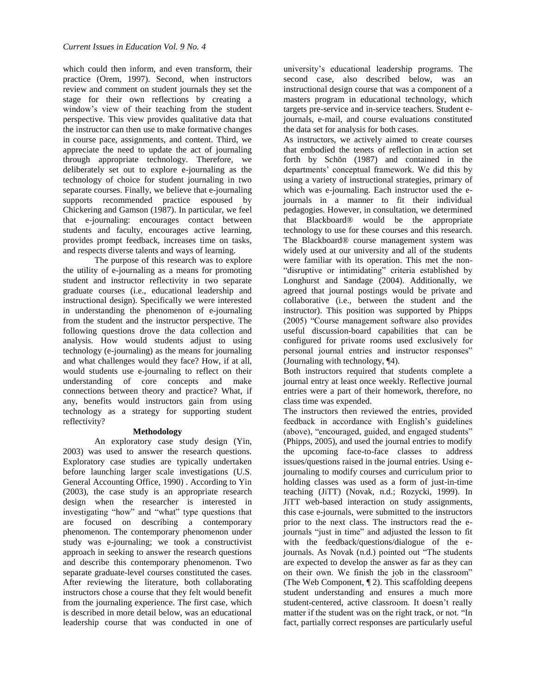which could then inform, and even transform, their practice (Orem, 1997). Second, when instructors review and comment on student journals they set the stage for their own reflections by creating a window's view of their teaching from the student perspective. This view provides qualitative data that the instructor can then use to make formative changes in course pace, assignments, and content. Third, we appreciate the need to update the act of journaling through appropriate technology. Therefore, we deliberately set out to explore e-journaling as the technology of choice for student journaling in two separate courses. Finally, we believe that e-journaling supports recommended practice espoused by Chickering and Gamson (1987). In particular, we feel that e-journaling: encourages contact between students and faculty, encourages active learning, provides prompt feedback, increases time on tasks, and respects diverse talents and ways of learning.

The purpose of this research was to explore the utility of e-journaling as a means for promoting student and instructor reflectivity in two separate graduate courses (i.e., educational leadership and instructional design). Specifically we were interested in understanding the phenomenon of e-journaling from the student and the instructor perspective. The following questions drove the data collection and analysis. How would students adjust to using technology (e-journaling) as the means for journaling and what challenges would they face? How, if at all, would students use e-journaling to reflect on their understanding of core concepts and make connections between theory and practice? What, if any, benefits would instructors gain from using technology as a strategy for supporting student reflectivity?

#### **Methodology**

An exploratory case study design (Yin, 2003) was used to answer the research questions. Exploratory case studies are typically undertaken before launching larger scale investigations (U.S. General Accounting Office, 1990) . According to Yin (2003), the case study is an appropriate research design when the researcher is interested in investigating "how" and "what" type questions that are focused on describing a contemporary phenomenon. The contemporary phenomenon under study was e-journaling; we took a constructivist approach in seeking to answer the research questions and describe this contemporary phenomenon. Two separate graduate-level courses constituted the cases. After reviewing the literature, both collaborating instructors chose a course that they felt would benefit from the journaling experience. The first case, which is described in more detail below, was an educational leadership course that was conducted in one of

university's educational leadership programs. The second case, also described below, was an instructional design course that was a component of a masters program in educational technology, which targets pre-service and in-service teachers. Student ejournals, e-mail, and course evaluations constituted the data set for analysis for both cases.

As instructors, we actively aimed to create courses that embodied the tenets of reflection in action set forth by Schön (1987) and contained in the departments' conceptual framework. We did this by using a variety of instructional strategies, primary of which was e-journaling. Each instructor used the ejournals in a manner to fit their individual pedagogies. However, in consultation, we determined that Blackboard® would be the appropriate technology to use for these courses and this research. The Blackboard® course management system was widely used at our university and all of the students were familiar with its operation. This met the non- "disruptive or intimidating" criteria established by Longhurst and Sandage (2004). Additionally, we agreed that journal postings would be private and collaborative (i.e., between the student and the instructor). This position was supported by Phipps (2005) "Course management software also provides useful discussion-board capabilities that can be configured for private rooms used exclusively for personal journal entries and instructor responses" (Journaling with technology, ¶4).

Both instructors required that students complete a journal entry at least once weekly. Reflective journal entries were a part of their homework, therefore, no class time was expended.

The instructors then reviewed the entries, provided feedback in accordance with English's guidelines (above), "encouraged, guided, and engaged students" (Phipps, 2005), and used the journal entries to modify the upcoming face-to-face classes to address issues/questions raised in the journal entries. Using ejournaling to modify courses and curriculum prior to holding classes was used as a form of just-in-time teaching (JiTT) (Novak, n.d.; Rozycki, 1999). In JiTT web-based interaction on study assignments, this case e-journals, were submitted to the instructors prior to the next class. The instructors read the ejournals "just in time" and adjusted the lesson to fit with the feedback/questions/dialogue of the ejournals. As Novak (n.d.) pointed out "The students are expected to develop the answer as far as they can on their own. We finish the job in the classroom" (The Web Component, ¶ 2). This scaffolding deepens student understanding and ensures a much more student-centered, active classroom. It doesn't really matter if the student was on the right track, or not. "In fact, partially correct responses are particularly useful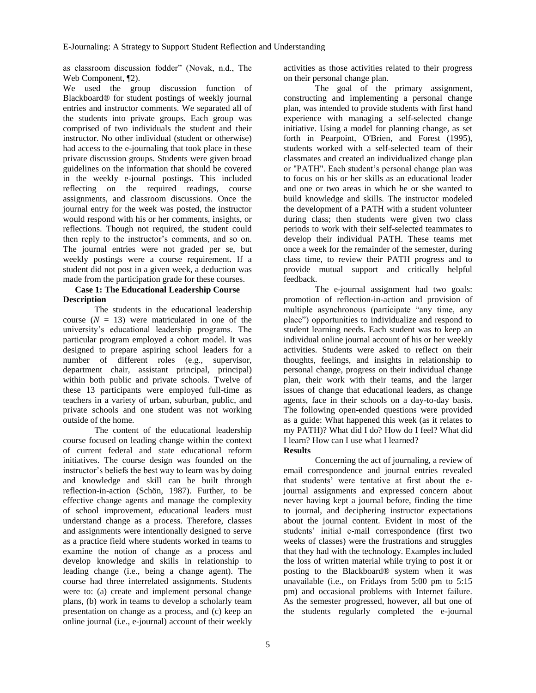as classroom discussion fodder" (Novak, n.d., The Web Component, ¶2).

We used the group discussion function of Blackboard® for student postings of weekly journal entries and instructor comments. We separated all of the students into private groups. Each group was comprised of two individuals the student and their instructor. No other individual (student or otherwise) had access to the e-journaling that took place in these private discussion groups. Students were given broad guidelines on the information that should be covered in the weekly e-journal postings. This included reflecting on the required readings, course assignments, and classroom discussions. Once the journal entry for the week was posted, the instructor would respond with his or her comments, insights, or reflections. Though not required, the student could then reply to the instructor's comments, and so on. The journal entries were not graded per se, but weekly postings were a course requirement. If a student did not post in a given week, a deduction was made from the participation grade for these courses.

#### **Case 1: The Educational Leadership Course Description**

The students in the educational leadership course  $(N = 13)$  were matriculated in one of the university's educational leadership programs. The particular program employed a cohort model. It was designed to prepare aspiring school leaders for a number of different roles (e.g., supervisor, department chair, assistant principal, principal) within both public and private schools. Twelve of these 13 participants were employed full-time as teachers in a variety of urban, suburban, public, and private schools and one student was not working outside of the home.

The content of the educational leadership course focused on leading change within the context of current federal and state educational reform initiatives. The course design was founded on the instructor's beliefs the best way to learn was by doing and knowledge and skill can be built through reflection-in-action (Schön, 1987). Further, to be effective change agents and manage the complexity of school improvement, educational leaders must understand change as a process. Therefore, classes and assignments were intentionally designed to serve as a practice field where students worked in teams to examine the notion of change as a process and develop knowledge and skills in relationship to leading change (i.e., being a change agent). The course had three interrelated assignments. Students were to: (a) create and implement personal change plans, (b) work in teams to develop a scholarly team presentation on change as a process, and (c) keep an online journal (i.e., e-journal) account of their weekly

activities as those activities related to their progress on their personal change plan.

The goal of the primary assignment, constructing and implementing a personal change plan, was intended to provide students with first hand experience with managing a self-selected change initiative. Using a model for planning change, as set forth in Pearpoint, O'Brien, and Forest (1995), students worked with a self-selected team of their classmates and created an individualized change plan or "PATH". Each student's personal change plan was to focus on his or her skills as an educational leader and one or two areas in which he or she wanted to build knowledge and skills. The instructor modeled the development of a PATH with a student volunteer during class; then students were given two class periods to work with their self-selected teammates to develop their individual PATH. These teams met once a week for the remainder of the semester, during class time, to review their PATH progress and to provide mutual support and critically helpful feedback.

The e-journal assignment had two goals: promotion of reflection-in-action and provision of multiple asynchronous (participate "any time, any place") opportunities to individualize and respond to student learning needs. Each student was to keep an individual online journal account of his or her weekly activities. Students were asked to reflect on their thoughts, feelings, and insights in relationship to personal change, progress on their individual change plan, their work with their teams, and the larger issues of change that educational leaders, as change agents, face in their schools on a day-to-day basis. The following open-ended questions were provided as a guide: What happened this week (as it relates to my PATH)? What did I do? How do I feel? What did I learn? How can I use what I learned?

#### **Results**

Concerning the act of journaling, a review of email correspondence and journal entries revealed that students' were tentative at first about the ejournal assignments and expressed concern about never having kept a journal before, finding the time to journal, and deciphering instructor expectations about the journal content. Evident in most of the students' initial e-mail correspondence (first two weeks of classes) were the frustrations and struggles that they had with the technology. Examples included the loss of written material while trying to post it or posting to the Blackboard® system when it was unavailable (i.e., on Fridays from 5:00 pm to 5:15 pm) and occasional problems with Internet failure. As the semester progressed, however, all but one of the students regularly completed the e-journal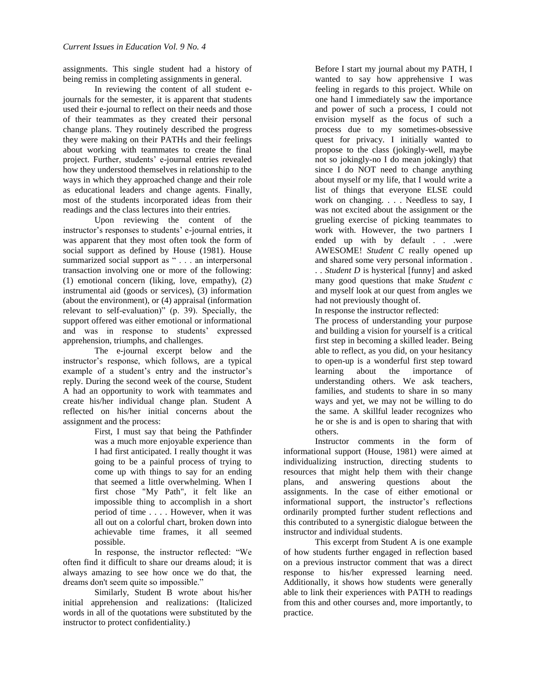assignments. This single student had a history of being remiss in completing assignments in general.

In reviewing the content of all student ejournals for the semester, it is apparent that students used their e-journal to reflect on their needs and those of their teammates as they created their personal change plans. They routinely described the progress they were making on their PATHs and their feelings about working with teammates to create the final project. Further, students' e-journal entries revealed how they understood themselves in relationship to the ways in which they approached change and their role as educational leaders and change agents. Finally, most of the students incorporated ideas from their readings and the class lectures into their entries.

Upon reviewing the content of the instructor's responses to students' e-journal entries, it was apparent that they most often took the form of social support as defined by House (1981). House summarized social support as " . . . an interpersonal transaction involving one or more of the following: (1) emotional concern (liking, love, empathy), (2) instrumental aid (goods or services), (3) information (about the environment), or (4) appraisal (information relevant to self-evaluation)" (p. 39). Specially, the support offered was either emotional or informational and was in response to students' expressed apprehension, triumphs, and challenges.

The e-journal excerpt below and the instructor's response, which follows, are a typical example of a student's entry and the instructor's reply. During the second week of the course, Student A had an opportunity to work with teammates and create his/her individual change plan. Student A reflected on his/her initial concerns about the assignment and the process:

> First, I must say that being the Pathfinder was a much more enjoyable experience than I had first anticipated. I really thought it was going to be a painful process of trying to come up with things to say for an ending that seemed a little overwhelming. When I first chose "My Path", it felt like an impossible thing to accomplish in a short period of time . . . . However, when it was all out on a colorful chart, broken down into achievable time frames, it all seemed possible.

In response, the instructor reflected: "We often find it difficult to share our dreams aloud; it is always amazing to see how once we do that, the dreams don't seem quite so impossible."

Similarly, Student B wrote about his/her initial apprehension and realizations: (Italicized words in all of the quotations were substituted by the instructor to protect confidentiality.)

Before I start my journal about my PATH, I wanted to say how apprehensive I was feeling in regards to this project. While on one hand I immediately saw the importance and power of such a process, I could not envision myself as the focus of such a process due to my sometimes-obsessive quest for privacy. I initially wanted to propose to the class (jokingly-well, maybe not so jokingly-no I do mean jokingly) that since I do NOT need to change anything about myself or my life, that I would write a list of things that everyone ELSE could work on changing. . . . Needless to say, I was not excited about the assignment or the grueling exercise of picking teammates to work with. However, the two partners I ended up with by default . . .were AWESOME! *Student C* really opened up and shared some very personal information . . . *Student D* is hysterical [funny] and asked many good questions that make *Student c* and myself look at our quest from angles we had not previously thought of.

In response the instructor reflected:

The process of understanding your purpose and building a vision for yourself is a critical first step in becoming a skilled leader. Being able to reflect, as you did, on your hesitancy to open-up is a wonderful first step toward learning about the importance of understanding others. We ask teachers, families, and students to share in so many ways and yet, we may not be willing to do the same. A skillful leader recognizes who he or she is and is open to sharing that with others.

Instructor comments in the form of informational support (House, 1981) were aimed at individualizing instruction, directing students to resources that might help them with their change plans, and answering questions about the assignments. In the case of either emotional or informational support, the instructor's reflections ordinarily prompted further student reflections and this contributed to a synergistic dialogue between the instructor and individual students.

This excerpt from Student A is one example of how students further engaged in reflection based on a previous instructor comment that was a direct response to his/her expressed learning need. Additionally, it shows how students were generally able to link their experiences with PATH to readings from this and other courses and, more importantly, to practice.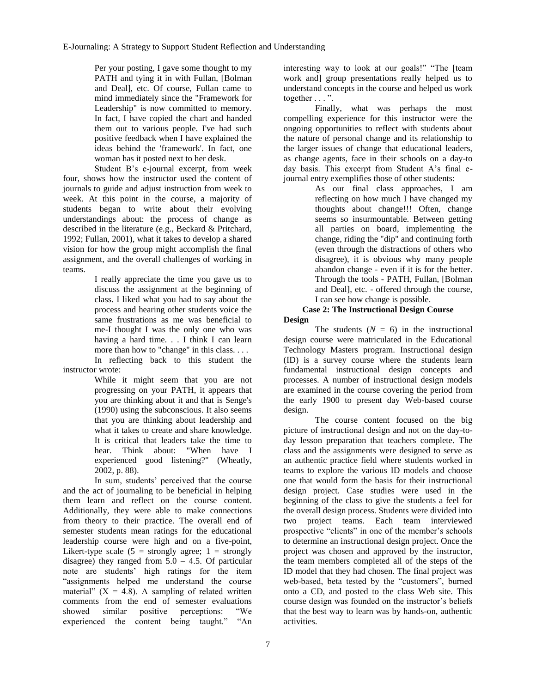E-Journaling: A Strategy to Support Student Reflection and Understanding

Per your posting, I gave some thought to my PATH and tying it in with Fullan, [Bolman and Deal], etc. Of course, Fullan came to mind immediately since the "Framework for Leadership" is now committed to memory. In fact, I have copied the chart and handed them out to various people. I've had such positive feedback when I have explained the ideas behind the 'framework'. In fact, one woman has it posted next to her desk.

Student B's e-journal excerpt, from week four, shows how the instructor used the content of journals to guide and adjust instruction from week to week. At this point in the course, a majority of students began to write about their evolving understandings about: the process of change as described in the literature (e.g., Beckard & Pritchard, 1992; Fullan, 2001), what it takes to develop a shared vision for how the group might accomplish the final assignment, and the overall challenges of working in teams.

> I really appreciate the time you gave us to discuss the assignment at the beginning of class. I liked what you had to say about the process and hearing other students voice the same frustrations as me was beneficial to me-I thought I was the only one who was having a hard time. . . I think I can learn more than how to "change" in this class. . . . In reflecting back to this student the

instructor wrote:

While it might seem that you are not progressing on your PATH, it appears that you are thinking about it and that is Senge's (1990) using the subconscious. It also seems that you are thinking about leadership and what it takes to create and share knowledge. It is critical that leaders take the time to hear. Think about: "When have I experienced good listening?" (Wheatly, 2002, p. 88).

In sum, students' perceived that the course and the act of journaling to be beneficial in helping them learn and reflect on the course content. Additionally, they were able to make connections from theory to their practice. The overall end of semester students mean ratings for the educational leadership course were high and on a five-point, Likert-type scale  $(5 =$  strongly agree;  $1 =$  strongly disagree) they ranged from  $5.0 - 4.5$ . Of particular note are students' high ratings for the item "assignments helped me understand the course material"  $(X = 4.8)$ . A sampling of related written comments from the end of semester evaluations showed similar positive perceptions: "We experienced the content being taught." "An

interesting way to look at our goals!" "The [team work and] group presentations really helped us to understand concepts in the course and helped us work together . . . ".

Finally, what was perhaps the most compelling experience for this instructor were the ongoing opportunities to reflect with students about the nature of personal change and its relationship to the larger issues of change that educational leaders, as change agents, face in their schools on a day-to day basis. This excerpt from Student A's final ejournal entry exemplifies those of other students:

> As our final class approaches, I am reflecting on how much I have changed my thoughts about change!!! Often, change seems so insurmountable. Between getting all parties on board, implementing the change, riding the "dip" and continuing forth (even through the distractions of others who disagree), it is obvious why many people abandon change - even if it is for the better. Through the tools - PATH, Fullan, [Bolman and Deal], etc. - offered through the course, I can see how change is possible.

#### **Case 2: The Instructional Design Course Design**

The students  $(N = 6)$  in the instructional design course were matriculated in the Educational Technology Masters program. Instructional design (ID) is a survey course where the students learn fundamental instructional design concepts and processes. A number of instructional design models are examined in the course covering the period from the early 1900 to present day Web-based course design.

The course content focused on the big picture of instructional design and not on the day-today lesson preparation that teachers complete. The class and the assignments were designed to serve as an authentic practice field where students worked in teams to explore the various ID models and choose one that would form the basis for their instructional design project. Case studies were used in the beginning of the class to give the students a feel for the overall design process. Students were divided into two project teams. Each team interviewed prospective "clients" in one of the member's schools to determine an instructional design project. Once the project was chosen and approved by the instructor, the team members completed all of the steps of the ID model that they had chosen. The final project was web-based, beta tested by the "customers", burned onto a CD, and posted to the class Web site. This course design was founded on the instructor's beliefs that the best way to learn was by hands-on, authentic activities.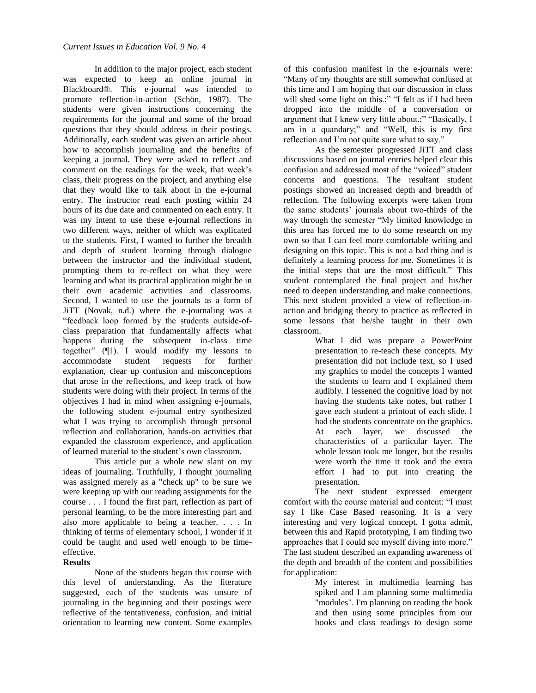In addition to the major project, each student was expected to keep an online journal in Blackboard®. This e-journal was intended to promote reflection-in-action (Schön, 1987). The students were given instructions concerning the requirements for the journal and some of the broad questions that they should address in their postings. Additionally, each student was given an article about how to accomplish journaling and the benefits of keeping a journal. They were asked to reflect and comment on the readings for the week, that week's class, their progress on the project, and anything else that they would like to talk about in the e-journal entry. The instructor read each posting within 24 hours of its due date and commented on each entry. It was my intent to use these e-journal reflections in two different ways, neither of which was explicated to the students. First, I wanted to further the breadth and depth of student learning through dialogue between the instructor and the individual student, prompting them to re-reflect on what they were learning and what its practical application might be in their own academic activities and classrooms. Second, I wanted to use the journals as a form of JiTT (Novak, n.d.) where the e-journaling was a "feedback loop formed by the students outside-ofclass preparation that fundamentally affects what happens during the subsequent in-class time together" (¶1). I would modify my lessons to accommodate student requests for further explanation, clear up confusion and misconceptions that arose in the reflections, and keep track of how students were doing with their project. In terms of the objectives I had in mind when assigning e-journals, the following student e-journal entry synthesized what I was trying to accomplish through personal reflection and collaboration, hands-on activities that expanded the classroom experience, and application of learned material to the student's own classroom.

This article put a whole new slant on my ideas of journaling. Truthfully, I thought journaling was assigned merely as a "check up" to be sure we were keeping up with our reading assignments for the course . . . I found the first part, reflection as part of personal learning, to be the more interesting part and also more applicable to being a teacher. . . . In thinking of terms of elementary school, I wonder if it could be taught and used well enough to be timeeffective.

#### **Results**

None of the students began this course with this level of understanding. As the literature suggested, each of the students was unsure of journaling in the beginning and their postings were reflective of the tentativeness, confusion, and initial orientation to learning new content. Some examples

of this confusion manifest in the e-journals were: "Many of my thoughts are still somewhat confused at this time and I am hoping that our discussion in class will shed some light on this.;" "I felt as if I had been dropped into the middle of a conversation or argument that I knew very little about.;" "Basically, I am in a quandary;" and "Well, this is my first reflection and I'm not quite sure what to say."

As the semester progressed JiTT and class discussions based on journal entries helped clear this confusion and addressed most of the "voiced" student concerns and questions. The resultant student postings showed an increased depth and breadth of reflection. The following excerpts were taken from the same students' journals about two-thirds of the way through the semester "My limited knowledge in this area has forced me to do some research on my own so that I can feel more comfortable writing and designing on this topic. This is not a bad thing and is definitely a learning process for me. Sometimes it is the initial steps that are the most difficult." This student contemplated the final project and his/her need to deepen understanding and make connections. This next student provided a view of reflection-inaction and bridging theory to practice as reflected in some lessons that he/she taught in their own classroom.

> What I did was prepare a PowerPoint presentation to re-teach these concepts. My presentation did not include text, so I used my graphics to model the concepts I wanted the students to learn and I explained them audibly. I lessened the cognitive load by not having the students take notes, but rather I gave each student a printout of each slide. I had the students concentrate on the graphics. At each layer, we discussed the characteristics of a particular layer. The whole lesson took me longer, but the results were worth the time it took and the extra effort I had to put into creating the presentation.

The next student expressed emergent comfort with the course material and content: "I must say I like Case Based reasoning. It is a very interesting and very logical concept. I gotta admit, between this and Rapid prototyping, I am finding two approaches that I could see myself diving into more." The last student described an expanding awareness of the depth and breadth of the content and possibilities for application:

> My interest in multimedia learning has spiked and I am planning some multimedia "modules". I'm planning on reading the book and then using some principles from our books and class readings to design some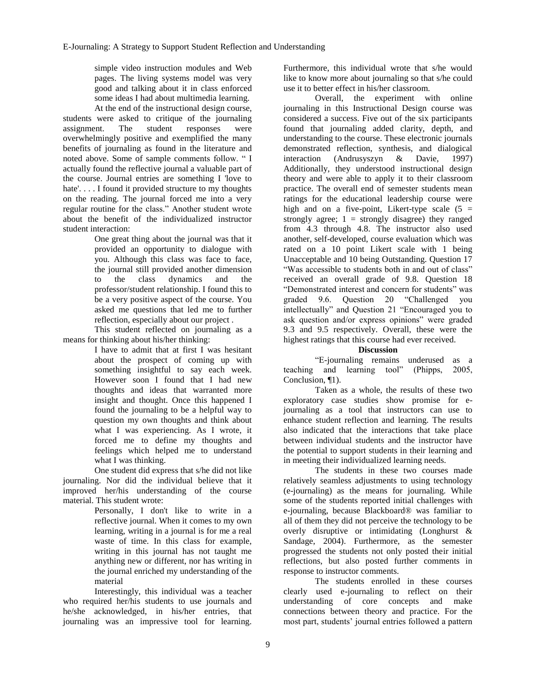simple video instruction modules and Web pages. The living systems model was very good and talking about it in class enforced some ideas I had about multimedia learning. At the end of the instructional design course,

students were asked to critique of the journaling assignment. The student responses were overwhelmingly positive and exemplified the many benefits of journaling as found in the literature and noted above. Some of sample comments follow. " I actually found the reflective journal a valuable part of the course. Journal entries are something I 'love to hate'.... I found it provided structure to my thoughts on the reading. The journal forced me into a very regular routine for the class." Another student wrote about the benefit of the individualized instructor student interaction:

> One great thing about the journal was that it provided an opportunity to dialogue with you. Although this class was face to face, the journal still provided another dimension to the class dynamics and the professor/student relationship. I found this to be a very positive aspect of the course. You asked me questions that led me to further reflection, especially about our project .

This student reflected on journaling as a means for thinking about his/her thinking:

I have to admit that at first I was hesitant about the prospect of coming up with something insightful to say each week. However soon I found that I had new thoughts and ideas that warranted more insight and thought. Once this happened I found the journaling to be a helpful way to question my own thoughts and think about what I was experiencing. As I wrote, it forced me to define my thoughts and feelings which helped me to understand what I was thinking.

One student did express that s/he did not like journaling. Nor did the individual believe that it improved her/his understanding of the course material. This student wrote:

> Personally, I don't like to write in a reflective journal. When it comes to my own learning, writing in a journal is for me a real waste of time. In this class for example, writing in this journal has not taught me anything new or different, nor has writing in the journal enriched my understanding of the material

Interestingly, this individual was a teacher who required her/his students to use journals and he/she acknowledged, in his/her entries, that journaling was an impressive tool for learning.

Furthermore, this individual wrote that s/he would like to know more about journaling so that s/he could use it to better effect in his/her classroom.

Overall, the experiment with online journaling in this Instructional Design course was considered a success. Five out of the six participants found that journaling added clarity, depth, and understanding to the course. These electronic journals demonstrated reflection, synthesis, and dialogical interaction (Andrusyszyn & Davie, 1997) Additionally, they understood instructional design theory and were able to apply it to their classroom practice. The overall end of semester students mean ratings for the educational leadership course were high and on a five-point, Likert-type scale  $(5 =$ strongly agree;  $1 =$  strongly disagree) they ranged from 4.3 through 4.8. The instructor also used another, self-developed, course evaluation which was rated on a 10 point Likert scale with 1 being Unacceptable and 10 being Outstanding. Question 17 "Was accessible to students both in and out of class" received an overall grade of 9.8. Question 18 "Demonstrated interest and concern for students" was graded 9.6. Question 20 "Challenged you intellectually" and Question 21 "Encouraged you to ask question and/or express opinions" were graded 9.3 and 9.5 respectively. Overall, these were the highest ratings that this course had ever received.

#### **Discussion**

"E-journaling remains underused as a teaching and learning tool" (Phipps, 2005, Conclusion, ¶1).

Taken as a whole, the results of these two exploratory case studies show promise for ejournaling as a tool that instructors can use to enhance student reflection and learning. The results also indicated that the interactions that take place between individual students and the instructor have the potential to support students in their learning and in meeting their individualized learning needs.

The students in these two courses made relatively seamless adjustments to using technology (e-journaling) as the means for journaling. While some of the students reported initial challenges with e-journaling, because Blackboard® was familiar to all of them they did not perceive the technology to be overly disruptive or intimidating (Longhurst & Sandage, 2004). Furthermore, as the semester progressed the students not only posted their initial reflections, but also posted further comments in response to instructor comments.

The students enrolled in these courses clearly used e-journaling to reflect on their understanding of core concepts and make connections between theory and practice. For the most part, students' journal entries followed a pattern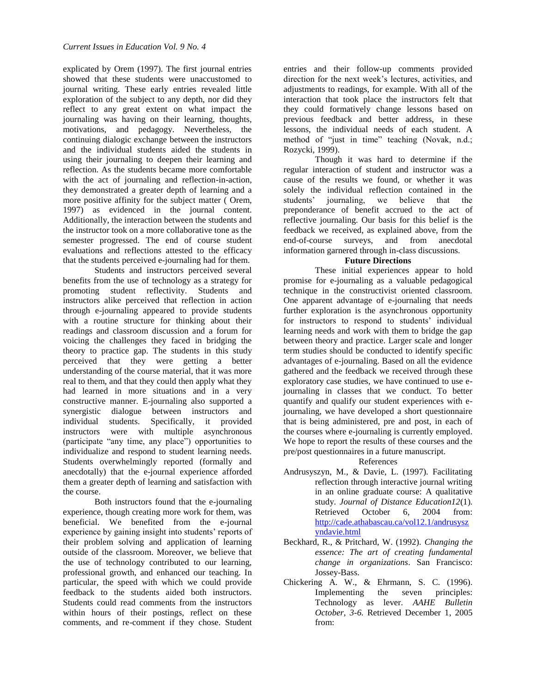explicated by Orem (1997). The first journal entries showed that these students were unaccustomed to journal writing. These early entries revealed little exploration of the subject to any depth, nor did they reflect to any great extent on what impact the journaling was having on their learning, thoughts, motivations, and pedagogy. Nevertheless, the continuing dialogic exchange between the instructors and the individual students aided the students in using their journaling to deepen their learning and reflection. As the students became more comfortable with the act of journaling and reflection-in-action, they demonstrated a greater depth of learning and a more positive affinity for the subject matter ( Orem, 1997) as evidenced in the journal content. Additionally, the interaction between the students and the instructor took on a more collaborative tone as the semester progressed. The end of course student evaluations and reflections attested to the efficacy that the students perceived e-journaling had for them.

Students and instructors perceived several benefits from the use of technology as a strategy for promoting student reflectivity. Students and instructors alike perceived that reflection in action through e-journaling appeared to provide students with a routine structure for thinking about their readings and classroom discussion and a forum for voicing the challenges they faced in bridging the theory to practice gap. The students in this study perceived that they were getting a better understanding of the course material, that it was more real to them, and that they could then apply what they had learned in more situations and in a very constructive manner. E-journaling also supported a synergistic dialogue between instructors and individual students. Specifically, it provided instructors were with multiple asynchronous (participate "any time, any place") opportunities to individualize and respond to student learning needs. Students overwhelmingly reported (formally and anecdotally) that the e-journal experience afforded them a greater depth of learning and satisfaction with the course.

Both instructors found that the e-journaling experience, though creating more work for them, was beneficial. We benefited from the e-journal experience by gaining insight into students' reports of their problem solving and application of learning outside of the classroom. Moreover, we believe that the use of technology contributed to our learning, professional growth, and enhanced our teaching. In particular, the speed with which we could provide feedback to the students aided both instructors. Students could read comments from the instructors within hours of their postings, reflect on these comments, and re-comment if they chose. Student entries and their follow-up comments provided direction for the next week's lectures, activities, and adjustments to readings, for example. With all of the interaction that took place the instructors felt that they could formatively change lessons based on previous feedback and better address, in these lessons, the individual needs of each student. A method of "just in time" teaching (Novak, n.d.; Rozycki, 1999).

Though it was hard to determine if the regular interaction of student and instructor was a cause of the results we found, or whether it was solely the individual reflection contained in the students' journaling, we believe that the preponderance of benefit accrued to the act of reflective journaling. Our basis for this belief is the feedback we received, as explained above, from the end-of-course surveys, and from anecdotal information garnered through in-class discussions.

#### **Future Directions**

These initial experiences appear to hold promise for e-journaling as a valuable pedagogical technique in the constructivist oriented classroom. One apparent advantage of e-journaling that needs further exploration is the asynchronous opportunity for instructors to respond to students' individual learning needs and work with them to bridge the gap between theory and practice. Larger scale and longer term studies should be conducted to identify specific advantages of e-journaling. Based on all the evidence gathered and the feedback we received through these exploratory case studies, we have continued to use ejournaling in classes that we conduct. To better quantify and qualify our student experiences with ejournaling, we have developed a short questionnaire that is being administered, pre and post, in each of the courses where e-journaling is currently employed. We hope to report the results of these courses and the pre/post questionnaires in a future manuscript.

#### References

- Andrusyszyn, M., & Davie, L. (1997). Facilitating reflection through interactive journal writing in an online graduate course: A qualitative study. *Journal of Distance Education12*(1)*.* Retrieved October 6, 2004 from: [http://cade.athabascau.ca/vol12.1/andrusysz](http://cade.athabascau.ca/vol12.1/andrusyszyndavie.html) [yndavie.html](http://cade.athabascau.ca/vol12.1/andrusyszyndavie.html)
- Beckhard, R., & Pritchard, W. (1992). *Changing the essence: The art of creating fundamental change in organizations*. San Francisco: Jossey-Bass.
- Chickering A. W., & Ehrmann, S. C. (1996). Implementing the seven principles: Technology as lever. *AAHE Bulletin October, 3-6.* Retrieved December 1, 2005 from: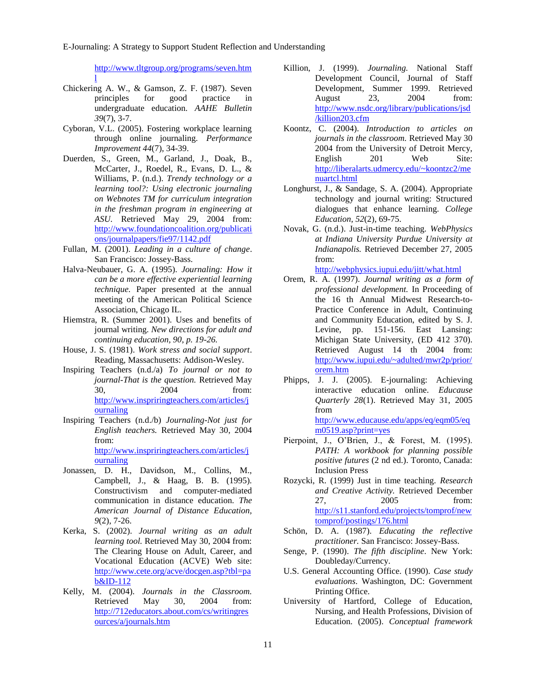E-Journaling: A Strategy to Support Student Reflection and Understanding

[http://www.tltgroup.org/programs/seven.htm](http://www.tltgroup.org/programs/seven.html) [l](http://www.tltgroup.org/programs/seven.html)

- Chickering A. W., & Gamson, Z. F. (1987). Seven principles for good practice in undergraduate education. *AAHE Bulletin 39*(7), 3-7.
- Cyboran, V.L. (2005). Fostering workplace learning through online journaling. *Performance Improvement 44*(7), 34-39.
- Duerden, S., Green, M., Garland, J., Doak, B., McCarter, J., Roedel, R., Evans, D. L., & Williams, P. (n.d.). *Trendy technology or a learning tool?: Using electronic journaling on Webnotes TM for curriculum integration in the freshman program in engineering at ASU.* Retrieved May 29, 2004 from: [http://www.foundationcoalition.org/publicati](http://www.foundationcoalition.org/publications/journalpapers/fie97/1142.pdf) [ons/journalpapers/fie97/1142.pdf](http://www.foundationcoalition.org/publications/journalpapers/fie97/1142.pdf)
- Fullan, M. (2001). *Leading in a culture of change*. San Francisco: Jossey-Bass.
- Halva-Neubauer, G. A. (1995). *Journaling: How it can be a more effective experiential learning technique.* Paper presented at the annual meeting of the American Political Science Association, Chicago IL.
- Hiemstra, R. (Summer 2001). Uses and benefits of journal writing. *New directions for adult and continuing education, 90*, *p. 19-26.*
- House, J. S. (1981). *Work stress and social support*. Reading, Massachusetts: Addison-Wesley.
- Inspiring Teachers (n.d./a) *To journal or not to journal-That is the question.* Retrieved May 30, 2004 from: [http://www.inspriringteachers.com/articles/j](http://www.inspriringteachers.com/articles/journaling) [ournaling](http://www.inspriringteachers.com/articles/journaling)
- Inspiring Teachers (n.d./b) *Journaling-Not just for English teachers.* Retrieved May 30, 2004 from: [http://www.inspriringteachers.com/articles/j](http://www.inspriringteachers.com/articles/journaling) [ournaling](http://www.inspriringteachers.com/articles/journaling)
- Jonassen, D. H., Davidson, M., Collins, M., Campbell, J., & Haag, B. B. (1995). Constructivism and computer-mediated communication in distance education. *The American Journal of Distance Education, 9*(2), 7-26.
- Kerka, S. (2002). *Journal writing as an adult learning tool.* Retrieved May 30, 2004 from: The Clearing House on Adult, Career, and Vocational Education (ACVE) Web site: [http://www.cete.org/acve/docgen.asp?tbl=pa](http://www.cete.org/acve/docgen.asp?tbl=pab&ID-112) [b&ID-112](http://www.cete.org/acve/docgen.asp?tbl=pab&ID-112)
- Kelly, M. (2004). *Journals in the Classroom.* Retrieved May 30, 2004 from: [http://712educators.about.com/cs/writingres](http://712educators.about.com/cs/writingresources/a/journals.htm) [ources/a/journals.htm](http://712educators.about.com/cs/writingresources/a/journals.htm)
- Killion, J. (1999). *Journaling.* National Staff Development Council, Journal of Staff Development, Summer 1999. Retrieved August 23, 2004 from: [http://www.nsdc.org/library/publications/jsd](http://www.nsdc.org/library/publications/jsd/killion203.cfm) [/killion203.cfm](http://www.nsdc.org/library/publications/jsd/killion203.cfm)
- Koontz, C. (2004). *Introduction to articles on journals in the classroom.* Retrieved May 30 2004 from the University of Detroit Mercy, English 201 Web Site: [http://liberalarts.udmercy.edu/~koontzc2/me](http://liberalarts.udmercy.edu/~koontzc2/menuartcl.html) [nuartcl.html](http://liberalarts.udmercy.edu/~koontzc2/menuartcl.html)
- Longhurst, J., & Sandage, S. A. (2004). Appropriate technology and journal writing: Structured dialogues that enhance learning. *College Education, 52*(2), 69-75.
- Novak, G. (n.d.). Just-in-time teaching. *WebPhysics at Indiana University Purdue University at Indianapolis.* Retrieved December 27, 2005 from: <http://webphysics.iupui.edu/jitt/what.html>

Orem, R. A. (1997). *Journal writing as a form of* 

- *professional development.* In Proceeding of the 16 th Annual Midwest Research-to-Practice Conference in Adult, Continuing and Community Education, edited by S. J. Levine, pp. 151-156. East Lansing: Michigan State University, (ED 412 370). Retrieved August 14 th 2004 from: [http://www.iupui.edu/~adulted/mwr2p/prior/](http://www.iupui.edu/~adulted/mwr2p/prior/orem.htm) [orem.htm](http://www.iupui.edu/~adulted/mwr2p/prior/orem.htm)
- Phipps, J. J. (2005). E-journaling: Achieving interactive education online. *Educause Quarterly 28*(1). Retrieved May 31, 2005 from [http://www.educause.edu/apps/eq/eqm05/eq](http://www.educause.edu/apps/eq/eqm05/eqm0519.asp?print=yes)

[m0519.asp?print=yes](http://www.educause.edu/apps/eq/eqm05/eqm0519.asp?print=yes) Pierpoint, J., O'Brien, J., & Forest, M. (1995). *PATH: A workbook for planning possible positive futures* (2 nd ed.). Toronto, Canada: Inclusion Press

- Rozycki, R. (1999) Just in time teaching. *Research and Creative Activity.* Retrieved December 27, 2005 from: [http://s11.stanford.edu/projects/tomprof/new](http://s11.stanford.edu/projects/tomprof/newtomprof/postings/176.html) [tomprof/postings/176.html](http://s11.stanford.edu/projects/tomprof/newtomprof/postings/176.html)
- Schön, D. A. (1987). *Educating the reflective practitioner.* San Francisco: Jossey-Bass.
- Senge, P. (1990). *The fifth discipline*. New York: Doubleday/Currency.
- U.S. General Accounting Office. (1990). *Case study evaluations*. Washington, DC: Government Printing Office.
- University of Hartford, College of Education, Nursing, and Health Professions, Division of Education. (2005). *Conceptual framework*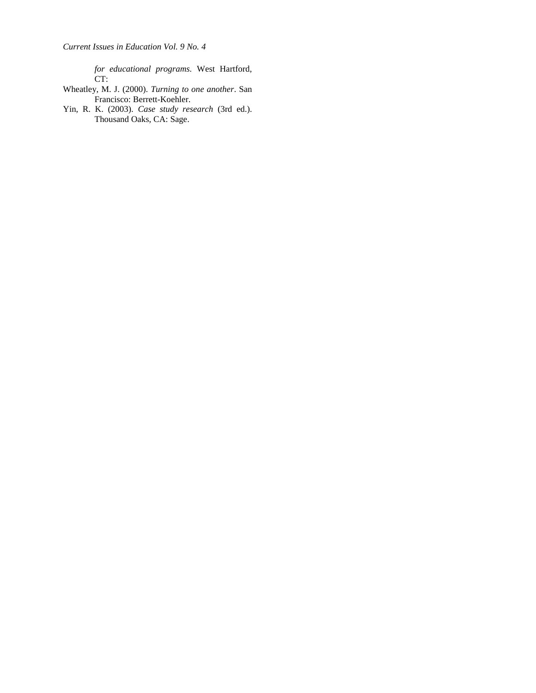*for educational programs.* West Hartford, CT:

- Wheatley, M. J. (2000). *Turning to one another*. San Francisco: Berrett-Koehler.
- Yin, R. K. (2003). *Case study research* (3rd ed.). Thousand Oaks, CA: Sage.